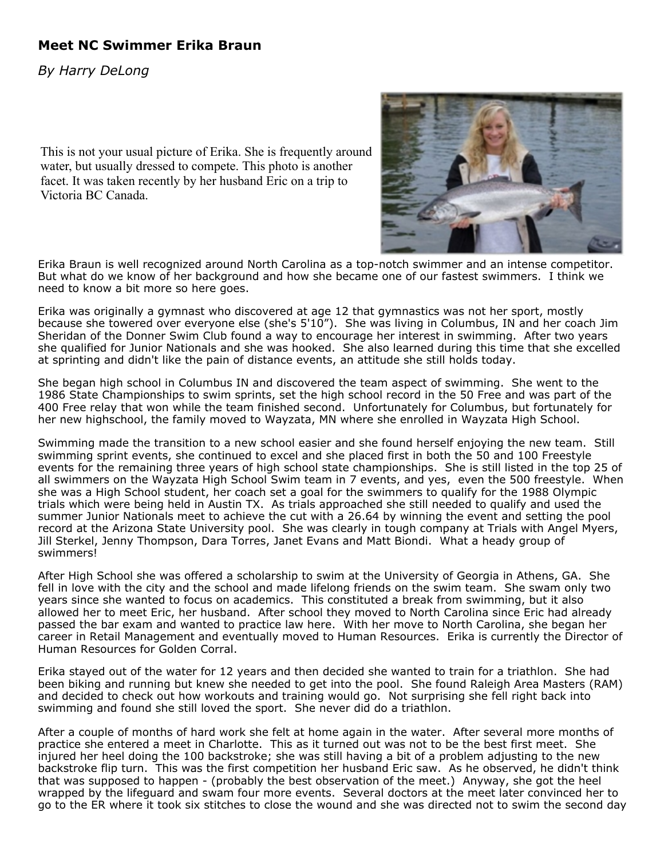## **Meet NC Swimmer Erika Braun**

*By Harry DeLong*

This is not your usual picture of Erika. She is frequently around water, but usually dressed to compete. This photo is another facet. It was taken recently by her husband Eric on a trip to Victoria BC Canada.



Erika Braun is well recognized around North Carolina as a top-notch swimmer and an intense competitor. But what do we know of her background and how she became one of our fastest swimmers. I think we need to know a bit more so here goes.

Erika was originally a gymnast who discovered at age 12 that gymnastics was not her sport, mostly because she towered over everyone else (she's 5'10"). She was living in Columbus, IN and her coach Jim Sheridan of the Donner Swim Club found a way to encourage her interest in swimming. After two years she qualified for Junior Nationals and she was hooked. She also learned during this time that she excelled at sprinting and didn't like the pain of distance events, an attitude she still holds today.

She began high school in Columbus IN and discovered the team aspect of swimming. She went to the 1986 State Championships to swim sprints, set the high school record in the 50 Free and was part of the 400 Free relay that won while the team finished second. Unfortunately for Columbus, but fortunately for her new highschool, the family moved to Wayzata, MN where she enrolled in Wayzata High School.

Swimming made the transition to a new school easier and she found herself enjoying the new team. Still swimming sprint events, she continued to excel and she placed first in both the 50 and 100 Freestyle events for the remaining three years of high school state championships. She is still listed in the top 25 of all swimmers on the Wayzata High School Swim team in 7 events, and yes, even the 500 freestyle. When she was a High School student, her coach set a goal for the swimmers to qualify for the 1988 Olympic trials which were being held in Austin TX. As trials approached she still needed to qualify and used the summer Junior Nationals meet to achieve the cut with a 26.64 by winning the event and setting the pool record at the Arizona State University pool. She was clearly in tough company at Trials with Angel Myers, Jill Sterkel, Jenny Thompson, Dara Torres, Janet Evans and Matt Biondi. What a heady group of swimmers!

After High School she was offered a scholarship to swim at the University of Georgia in Athens, GA. She fell in love with the city and the school and made lifelong friends on the swim team. She swam only two years since she wanted to focus on academics. This constituted a break from swimming, but it also allowed her to meet Eric, her husband. After school they moved to North Carolina since Eric had already passed the bar exam and wanted to practice law here. With her move to North Carolina, she began her career in Retail Management and eventually moved to Human Resources. Erika is currently the Director of Human Resources for Golden Corral.

Erika stayed out of the water for 12 years and then decided she wanted to train for a triathlon. She had been biking and running but knew she needed to get into the pool. She found Raleigh Area Masters (RAM) and decided to check out how workouts and training would go. Not surprising she fell right back into swimming and found she still loved the sport. She never did do a triathlon.

After a couple of months of hard work she felt at home again in the water. After several more months of practice she entered a meet in Charlotte. This as it turned out was not to be the best first meet. She injured her heel doing the 100 backstroke; she was still having a bit of a problem adjusting to the new backstroke flip turn. This was the first competition her husband Eric saw. As he observed, he didn't think that was supposed to happen - (probably the best observation of the meet.) Anyway, she got the heel wrapped by the lifeguard and swam four more events. Several doctors at the meet later convinced her to go to the ER where it took six stitches to close the wound and she was directed not to swim the second day